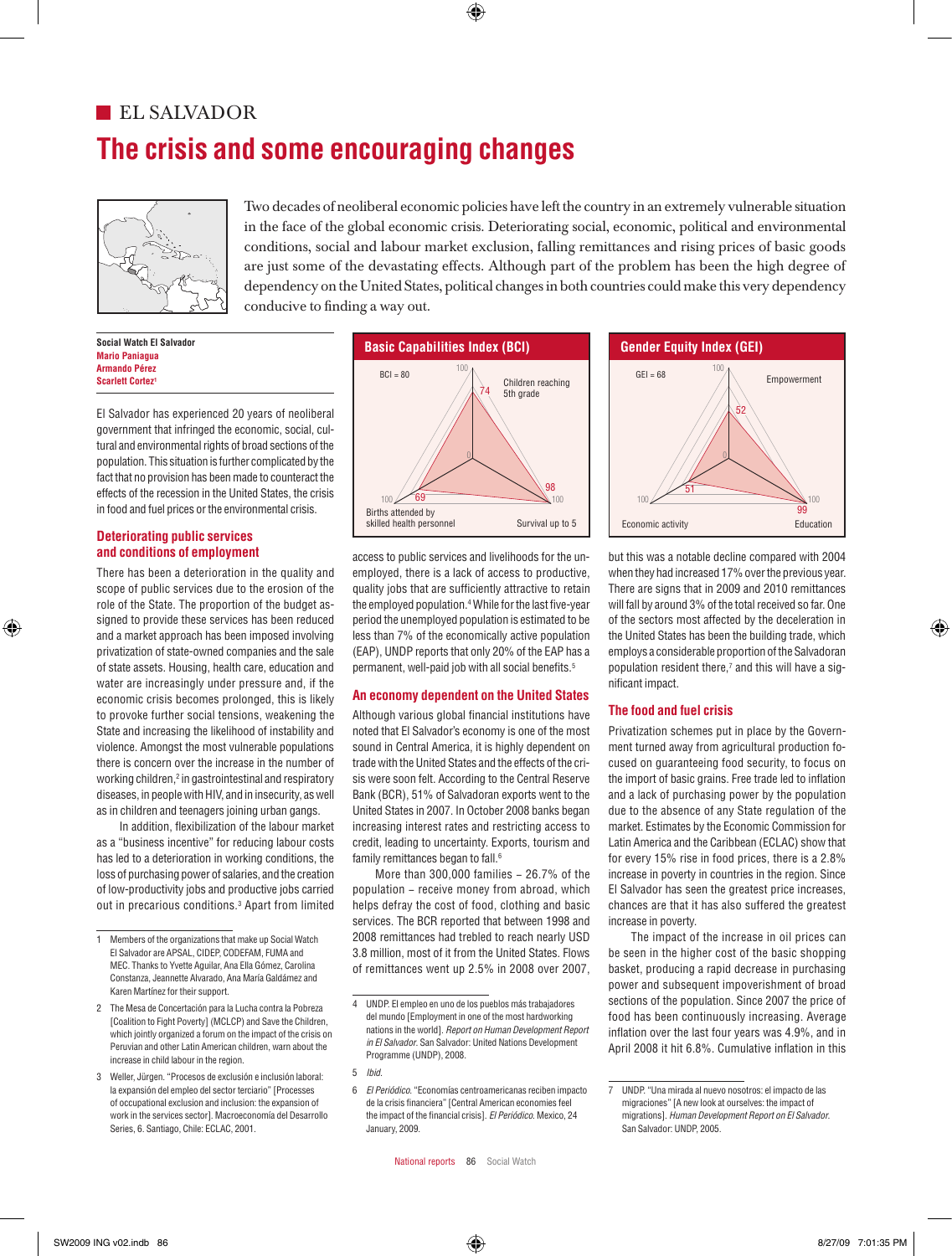# **The crisis and some encouraging changes EL SALVADOR**



Two decades of neoliberal economic policies have left the country in an extremely vulnerable situation  $\sum_{n=1}^{\infty}$  in the face of the global economic crisis. Deteriorating social, economic, political and environmental conditions, social and labour market exclusion, falling remittances and rising prices of basic goods are just some of the devastating effects. Although part of the problem has been the high degree of dependency on the United States, political changes in both countries could make this very dependency conducive to finding a way out. are just some of the devastating effects. Although part of the problem has been the high degree of  $\sum_{s}$ are just some of the devastating effects. Although part of the problem has been the high degree of  $\sum_{s,s}$ 

> **Social Watch El Salvador Mario Paniagua Armando Pérez Scarlett Cortez**

El Salvador has experienced 20 years of neoliberal government that infringed the economic, social, cultural and environmental rights of broad sections of the population. This situation is further complicated by the 0 fact that no provision has been made to counteract the effects of the recession in the United States, the crisis in food and fuel prices or the environmental crisis.

## **Deteriorating public services and conditions of employment**

There has been a deterioration in the quality and scope of public services due to the erosion of the role of the State. The proportion of the budget assigned to provide these services has been reduced and a market approach has been imposed involving 100 privatization of state-owned companies and the sale of state assets. Housing, health care, education and water are increasingly under pressure and, if the economic crisis becomes prolonged, this is likely to provoke further social tensions, weakening the State and increasing the likelihood of instability and violence. Amongst the most vulnerable populations there is concern over the increase in the number of working children, $^2$  in gastrointestinal and respiratory diseases, in people with HIV, and in insecurity, as well as in children and teenagers joining urban gangs.

In addition, flexibilization of the labour market as a "business incentive" for reducing labour costs has led to a deterioration in working conditions, the loss of purchasing power of salaries, and the creation of low-productivity jobs and productive jobs carried out in precarious conditions.<sup>3</sup> Apart from limited



access to public services and livelihoods for the unemployed, there is a lack of access to productive, quality jobs that are sufficiently attractive to retain the employed population.4 While for the last five-year period the unemployed population is estimated to be less than 7% of the economically active population (EAP), UNDP reports that only 20% of the EAP has a permanent, well-paid job with all social benefits.<sup>5</sup>

## **An economy dependent on the United States**

Although various global financial institutions have noted that El Salvador's economy is one of the most sound in Central America, it is highly dependent on trade with the United States and the effects of the crisis were soon felt. According to the Central Reserve Bank (BCR), 51% of Salvadoran exports went to the United States in 2007. In October 2008 banks began increasing interest rates and restricting access to credit, leading to uncertainty. Exports, tourism and family remittances began to fall.<sup>6</sup>

More than 300,000 families − 26.7% of the population − receive money from abroad, which helps defray the cost of food, clothing and basic services. The BCR reported that between 1998 and 2008 remittances had trebled to reach nearly USD 3.8 million, most of it from the United States. Flows 62 of remittances went up 2.5% in 2008 over 2007,



but this was a notable decline compared with 2004 when they had increased 17% over the previous year. There are signs that in 2009 and 2010 remittances will fall by around 3% of the total received so far. One of the sectors most affected by the deceleration in the United States has been the building trade, which employs a considerable proportion of the Salvadoran population resident there,<sup>7</sup> and this will have a significant impact.

## **The food and fuel crisis**

obal intancial institutions nave the CODE and they create<br>in's economy is one of the most the Privatization schemes put in place by the Government turned away from agricultural production focused on guaranteeing food security, to focus on the import of basic grains. Free trade led to inflation and a lack of purchasing power by the population due to the absence of any State regulation of the market. Estimates by the Economic Commission for Latin America and the Caribbean (ECLAC) show that for every 15% rise in food prices, there is a 2.8% increase in poverty in countries in the region. Since El Salvador has seen the greatest price increases, chances are that it has also suffered the greatest increase in poverty. as in contract and the second primary and the contract of the contract with the contract of the contract of the contract of the contract of the contract of the contract of the contract of the contract of the contract of th

> The impact of the increase in oil prices can be seen in the higher cost of the basic shopping basket, producing a rapid decrease in purchasing power and subsequent impoverishment of broad sections of the population. Since 2007 the price of food has been continuously increasing. Average inflation over the last four years was 4.9%, and in nmation over the last four years was 4.9%, and in<br>April 2008 it hit 6.8%. Cumulative inflation in this

<sup>1</sup> Members of the organizations that make up Social Watch El Salvador are APSAL, CIDEP, CODEFAM, FUMA and MEC. Thanks to Yvette Aguilar, Ana Ella Gómez, Carolina Constanza, Jeannette Alvarado, Ana María Galdámez and Karen Martínez for their support.

naron marañoz for afon support.<br>2 The Mesa de Concertación para la Lucha contra la Pobreza [Coalition to Fight Poverty] (MCLCP) and Save the Children, which jointly organized a forum on the impact of the crisis on Peruvian and other Latin American children, warn about the increase in child labour in the region.

<sup>3</sup> Weller, Jürgen. "Procesos de exclusión e inclusión laboral: la expansión del empleo del sector terciario" [Processes of occupational exclusion and inclusion: the expansion of work in the services sector]. Macroeconomía del Desarrollo Series, 6. Santiago, Chile: ECLAC, 2001. o wener, Jurgen. Procesos de exclusion e inclusion laboral.<br>la expansión del empleo del sector terciario" [Processes 6 *El Periódico.* "Economías centroamericanas reciben impacto 7 UNDP. "Una mirada al nuevo nosotros: BCI of México = 95,2 BCI of Marruecos = 81,1 BCI of Mozambique = 66,1 BCI of Nepal = 58,4 BCI of Paraguay = 95,3 BCI of Perú = 87,8 BCI of Filipinas = 78,1

<sup>4</sup> UNDP. El empleo en uno de los pueblos más trabajadores del mundo [Employment in one of the most hardworking nations in the world]. *Report on Human Development Report*  94 in El Salvador. San Salvador: United Nations Development Programme (UNDP), 2008.

<sup>5</sup> *Ibid.*

<sup>6</sup> *El Periódico*. "Economías centroamericanas reciben impacto de la crisis financiera" [Central American economies feel the impact of the financial crisis]. *El Periódico*. Mexico, 24 January, 2009.

<sup>7</sup> UNDP. "Una mirada al nuevo nosotros: el impacto de las migraciones" [A new look at ourselves: the impact of migrations]. *Human Development Report on El Salvador*. San Salvador: UNDP, 2005.